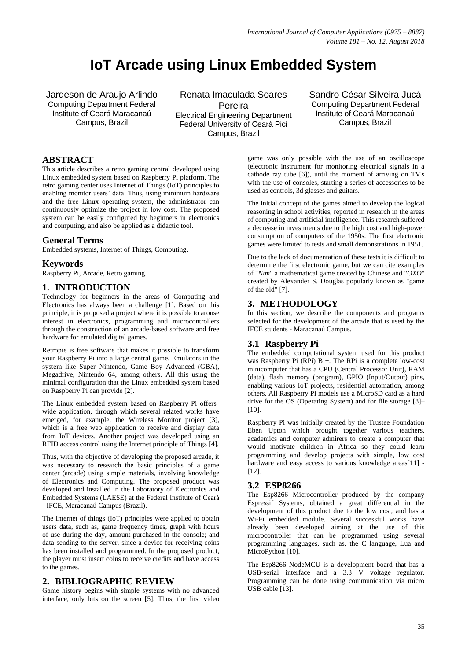# **IoT Arcade using Linux Embedded System**

Jardeson de Araujo Arlindo Computing Department Federal Institute of Ceará Maracanaú Campus, Brazil

Renata Imaculada Soares Pereira Electrical Engineering Department Federal University of Ceará Pici Campus, Brazil

Sandro César Silveira Jucá Computing Department Federal Institute of Ceará Maracanaú Campus, Brazil

# **ABSTRACT**

This article describes a retro gaming central developed using Linux embedded system based on Raspberry Pi platform. The retro gaming center uses Internet of Things (IoT) principles to enabling monitor users' data. Thus, using minimum hardware and the free Linux operating system, the administrator can continuously optimize the project in low cost. The proposed system can be easily configured by beginners in electronics and computing, and also be applied as a didactic tool.

# **General Terms**

Embedded systems, Internet of Things, Computing.

### **Keywords**

Raspberry Pi, Arcade, Retro gaming.

# **1. INTRODUCTION**

Technology for beginners in the areas of Computing and Electronics has always been a challenge [1]. Based on this principle, it is proposed a project where it is possible to arouse interest in electronics, programming and microcontrollers through the construction of an arcade-based software and free hardware for emulated digital games.

Retropie is free software that makes it possible to transform your Raspberry Pi into a large central game. Emulators in the system like Super Nintendo, Game Boy Advanced (GBA), Megadrive, Nintendo 64, among others. All this using the minimal configuration that the Linux embedded system based on Raspberry Pi can provide [2].

The Linux embedded system based on Raspberry Pi offers wide application, through which several related works have emerged, for example, the Wireless Monitor project [3], which is a free web application to receive and display data from IoT devices. Another project was developed using an RFID access control using the Internet principle of Things [4].

Thus, with the objective of developing the proposed arcade, it was necessary to research the basic principles of a game center (arcade) using simple materials, involving knowledge of Electronics and Computing. The proposed product was developed and installed in the Laboratory of Electronics and Embedded Systems (LAESE) at the Federal Institute of Ceará - IFCE, Maracanaú Campus (Brazil).

The Internet of things (IoT) principles were applied to obtain users data, such as, game frequency times, graph with hours of use during the day, amount purchased in the console; and data sending to the server, since a device for receiving coins has been installed and programmed. In the proposed product, the player must insert coins to receive credits and have access to the games.

### **2. BIBLIOGRAPHIC REVIEW**

Game history begins with simple systems with no advanced interface, only bits on the screen [5]. Thus, the first video game was only possible with the use of an oscilloscope (electronic instrument for monitoring electrical signals in a cathode ray tube [6]), until the moment of arriving on TV's with the use of consoles, starting a series of accessories to be used as controls, 3d glasses and guitars.

The initial concept of the games aimed to develop the logical reasoning in school activities, reported in research in the areas of computing and artificial intelligence. This research suffered a decrease in investments due to the high cost and high-power consumption of computers of the 1950s. The first electronic games were limited to tests and small demonstrations in 1951.

Due to the lack of documentation of these tests it is difficult to determine the first electronic game, but we can cite examples of "*Nim*" a mathematical game created by Chinese and "*OXO*" created by Alexander S. Douglas popularly known as "game of the old" [7].

# **3. METHODOLOGY**

In this section, we describe the components and programs selected for the development of the arcade that is used by the IFCE students - Maracanaú Campus.

# **3.1 Raspberry Pi**

The embedded computational system used for this product was Raspberry Pi (RPi)  $B +$ . The RPi is a complete low-cost minicomputer that has a CPU (Central Processor Unit), RAM (data), flash memory (program), GPIO (Input/Output) pins, enabling various IoT projects, residential automation, among others. All Raspberry Pi models use a MicroSD card as a hard drive for the OS (Operating System) and for file storage [8]– [10].

Raspberry Pi was initially created by the Trustee Foundation Eben Upton which brought together various teachers, academics and computer admirers to create a computer that would motivate children in Africa so they could learn programming and develop projects with simple, low cost hardware and easy access to various knowledge areas[11] -[12].

# **3.2 ESP8266**

The Esp8266 Microcontroller produced by the company Espressif Systems, obtained a great differential in the development of this product due to the low cost, and has a Wi-Fi embedded module. Several successful works have already been developed aiming at the use of this microcontroller that can be programmed using several programming languages, such as, the C language, Lua and MicroPython [10].

The Esp8266 NodeMCU is a development board that has a USB-serial interface and a 3.3 V voltage regulator. Programming can be done using communication via micro USB cable [13].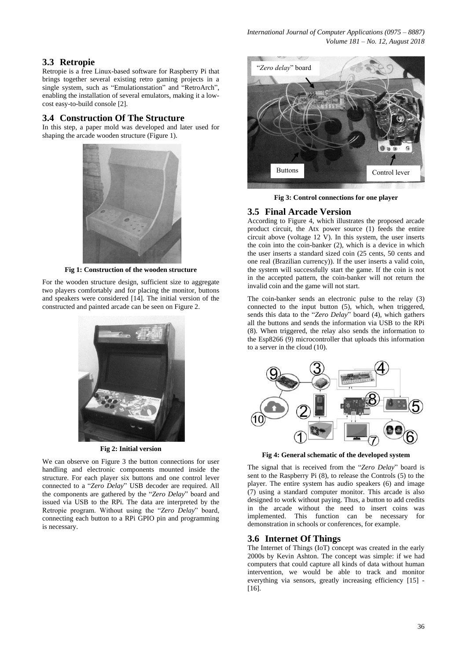# **3.3 Retropie**

Retropie is a free Linux-based software for Raspberry Pi that brings together several existing retro gaming projects in a single system, such as "Emulationstation" and "RetroArch", enabling the installation of several emulators, making it a lowcost easy-to-build console [2].

# **3.4 Construction Of The Structure**

In this step, a paper mold was developed and later used for shaping the arcade wooden structure (Figure 1).



**Fig 1: Construction of the wooden structure**

For the wooden structure design, sufficient size to aggregate two players comfortably and for placing the monitor, buttons and speakers were considered [14]. The initial version of the constructed and painted arcade can be seen on Figure 2.



**Fig 2: Initial version**

We can observe on Figure 3 the button connections for user handling and electronic components mounted inside the structure. For each player six buttons and one control lever connected to a "*Zero Delay*" USB decoder are required. All the components are gathered by the "*Zero Delay*" board and issued via USB to the RPi. The data are interpreted by the Retropie program. Without using the "*Zero Delay*" board, connecting each button to a RPi GPIO pin and programming is necessary.



**Fig 3: Control connections for one player**

# **3.5 Final Arcade Version**

According to Figure 4, which illustrates the proposed arcade product circuit, the Atx power source (1) feeds the entire circuit above (voltage 12 V). In this system, the user inserts the coin into the coin-banker (2), which is a device in which the user inserts a standard sized coin (25 cents, 50 cents and one real (Brazilian currency)). If the user inserts a valid coin, the system will successfully start the game. If the coin is not in the accepted pattern, the coin-banker will not return the invalid coin and the game will not start.

The coin-banker sends an electronic pulse to the relay (3) connected to the input button (5), which, when triggered, sends this data to the "*Zero Delay*" board (4), which gathers all the buttons and sends the information via USB to the RPi (8). When triggered, the relay also sends the information to the Esp8266 (9) microcontroller that uploads this information to a server in the cloud (10).



**Fig 4: General schematic of the developed system**

The signal that is received from the "*Zero Delay*" board is sent to the Raspberry Pi (8), to release the Controls (5) to the player. The entire system has audio speakers (6) and image (7) using a standard computer monitor. This arcade is also designed to work without paying. Thus, a button to add credits in the arcade without the need to insert coins was implemented. This function can be necessary for demonstration in schools or conferences, for example.

# **3.6 Internet Of Things**

The Internet of Things (IoT) concept was created in the early 2000s by Kevin Ashton. The concept was simple: if we had computers that could capture all kinds of data without human intervention, we would be able to track and monitor everything via sensors, greatly increasing efficiency [15] -[16].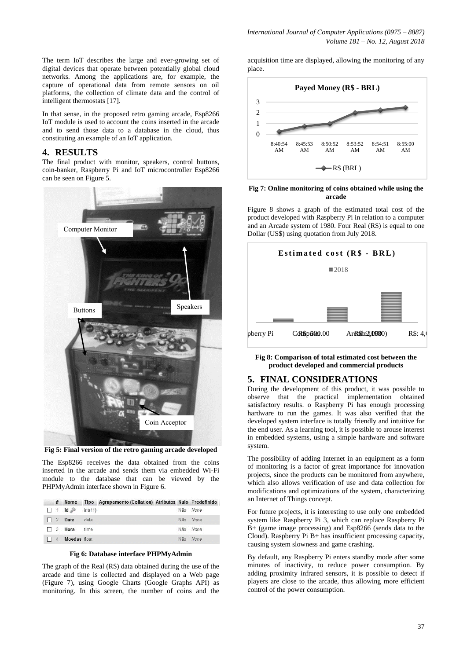The term IoT describes the large and ever-growing set of digital devices that operate between potentially global cloud networks. Among the applications are, for example, the capture of operational data from remote sensors on oil platforms, the collection of climate data and the control of intelligent thermostats [17].

In that sense, in the proposed retro gaming arcade, Esp8266 IoT module is used to account the coins inserted in the arcade and to send those data to a database in the cloud, thus constituting an example of an IoT application.

# **4. RESULTS**

The final product with monitor, speakers, control buttons, coin-banker, Raspberry Pi and IoT microcontroller Esp8266 can be seen on Figure 5.



**Fig 5: Final version of the retro gaming arcade developed**

The Esp8266 receives the data obtained from the coins inserted in the arcade and sends them via embedded Wi-Fi module to the database that can be viewed by the PHPMyAdmin interface shown in Figure 6.

|  |  | # Nome Tipo Agrupamento (Collation) Atributos Nulo Predefinido |  |  |
|--|--|----------------------------------------------------------------|--|--|
|  |  |                                                                |  |  |

|  |                              |          | Não None |
|--|------------------------------|----------|----------|
|  | 2 Data date                  | Não None |          |
|  | $\Box$ 3 <b>Hora</b> time    | Não None |          |
|  | $\Box$ 4 <b>Moedas</b> float | Não None |          |

### **Fig 6: Database interface PHPMyAdmin**

The graph of the Real (R\$) data obtained during the use of the arcade and time is collected and displayed on a Web page (Figure 7), using Google Charts (Google Graphs API) as monitoring. In this screen, the number of coins and the acquisition time are displayed, allowing the monitoring of any place.



#### **Fig 7: Online monitoring of coins obtained while using the arcade**

Figure 8 shows a graph of the estimated total cost of the product developed with Raspberry Pi in relation to a computer and an Arcade system of 1980. Four Real (R\$) is equal to one Dollar (US\$) using quotation from July 2018.



**Fig 8: Comparison of total estimated cost between the product developed and commercial products**

# **5. FINAL CONSIDERATIONS**

During the development of this product, it was possible to observe that the practical implementation obtained satisfactory results. o Raspberry Pi has enough processing hardware to run the games. It was also verified that the developed system interface is totally friendly and intuitive for the end user. As a learning tool, it is possible to arouse interest in embedded systems, using a simple hardware and software system.

The possibility of adding Internet in an equipment as a form of monitoring is a factor of great importance for innovation projects, since the products can be monitored from anywhere, which also allows verification of use and data collection for modifications and optimizations of the system, characterizing an Internet of Things concept.

For future projects, it is interesting to use only one embedded system like Raspberry Pi 3, which can replace Raspberry Pi B+ (game image processing) and Esp8266 (sends data to the Cloud). Raspberry Pi B+ has insufficient processing capacity, causing system slowness and game crashing.

By default, any Raspberry Pi enters standby mode after some minutes of inactivity, to reduce power consumption. By adding proximity infrared sensors, it is possible to detect if players are close to the arcade, thus allowing more efficient control of the power consumption.